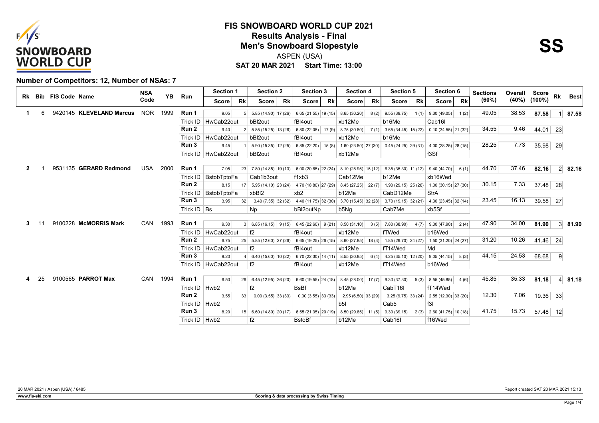



### **Number of Competitors: 12, Number of NSAs: 7**

|    |    | Rk Bib FIS Code Name |                          | <b>NSA</b> | <b>YB</b> | Run                | <b>Section 1</b>       |                 | <b>Section 2</b>                  | <b>Section 3</b>               | <b>Section 4</b>              | <b>Section 5</b>              | Section 6                                        | <b>Sections</b> | Overall | Score              | <b>Rk</b> |                |
|----|----|----------------------|--------------------------|------------|-----------|--------------------|------------------------|-----------------|-----------------------------------|--------------------------------|-------------------------------|-------------------------------|--------------------------------------------------|-----------------|---------|--------------------|-----------|----------------|
|    |    |                      |                          | Code       |           |                    | Score                  | <b>Rk</b>       | <b>Rk</b><br><b>Score</b>         | <b>Rk</b><br><b>Score</b>      | <b>Rk</b><br><b>Score</b>     | <b>Rk</b><br><b>Score</b>     | <b>Rk</b><br>Score                               | (60%)           |         | $(40\%)$ $(100\%)$ |           | <b>Best</b>    |
|    | 6  |                      | 9420145 KLEVELAND Marcus | <b>NOR</b> | 1999      | Run 1              | 9.05                   |                 | $5.85(14.90)$ 17 (26)             | $6.65(21.55)$ 19(15)           | 8.65 (30.20)<br>8(2)          | 9.55(39.75)<br>1(1)           | 9.30(49.05)<br>1(2)                              | 49.05           | 38.53   | 87.58              |           | 87.58          |
|    |    |                      |                          |            |           | Trick ID           | HwCab22out             |                 | bBI2out                           | fBI4out                        | xb12Me                        | b16Me                         | Cab16I                                           |                 |         |                    |           |                |
|    |    |                      |                          |            |           | Run 2              | 9.40                   |                 | $5.85(15.25)$ 13 (26)             | $6.80(22.05)$ 17 (9)           | 8.75 (30.80)<br>7(1)          | $3.65(34.45)$ 15 (22)         | $0.10(34.55)$ 21 (32)                            | 34.55           | 9.46    | 44.01              | 23        |                |
|    |    |                      |                          |            |           | Trick ID           | HwCab22out             |                 | bBI2out                           | fBI4out                        | xb12Me                        | b <sub>16</sub> Me            |                                                  |                 |         |                    |           |                |
|    |    |                      |                          |            |           | Run 3              | 9.45                   |                 | $5.90(15.35)$ 12 (25)             | $6.85(22.20)$ 15(8)            | $1.60(23.80)$ $27(30)$        |                               | $0.45(24.25)$ 29 (31) 4.00 (28.25) 28 (15)       | 28.25           | 7.73    | 35.98 29           |           |                |
|    |    |                      |                          |            |           |                    | Trick ID   HwCab22out  |                 | bBI2out                           | fBI4out                        | xb12Me                        |                               | f3Sf                                             |                 |         |                    |           |                |
|    |    |                      |                          |            |           |                    |                        |                 |                                   |                                |                               |                               |                                                  |                 |         |                    |           |                |
| 2  |    |                      | 9531135 GERARD Redmond   | USA        | 2000      | Run 1              | 7.05                   | 23              | $7.80(14.85)$ 19(13)              | $6.00(20.85)$ 22 (24)          | $8.10(28.95)$ 15 (12)         | $6.35(35.30)$ 11 (12)         | 9.40(44.70)<br>6(1)                              | 44.70           | 37.46   | 82.16              |           | $2 \mid 82.16$ |
|    |    |                      |                          |            |           |                    | Trick ID   BstobTptoFa |                 | Cab1b3out                         | f1xb3                          | Cab12Me                       | b12Me                         | xb16Wed                                          |                 |         |                    |           |                |
|    |    |                      |                          |            |           | Run 2              | 8.15                   | 17              | $5.95(14.10)$ 23 (24)             | 4.70 (18.80) 27 (29)           | $8.45(27.25)$ 22(7)           |                               | $1.90(29.15)$ $25(26)$ 1.00 (30.15) 27 (30)      | 30.15           | 7.33    | 37.48 28           |           |                |
|    |    |                      |                          |            |           |                    | Trick ID   BstobTptoFa |                 | xbBI2                             | xb2                            | b12Me                         | CabD12Me                      | StrA                                             |                 |         |                    |           |                |
|    |    |                      |                          |            |           | Run 3              | 3.95                   | 32              | $3.40(7.35)$ 32 (32)              | 4.40 (11.75) 32 (30)           | $3.70(15.45)$ 32 (28)         | $3.70(19.15)$ 32(21)          | $4.30(23.45)$ 32(14)                             | 23.45           | 16.13   | 39.58 27           |           |                |
|    |    |                      |                          |            |           | Trick $ID \mid Bs$ |                        |                 | <b>Np</b>                         | bBI2outNp                      | b5Nq                          | Cab7Me                        | xb5Sf                                            |                 |         |                    |           |                |
| З. |    |                      | 9100228 McMORRIS Mark    | CAN        | 1993      | Run 1              | 9.30                   |                 |                                   |                                |                               |                               |                                                  | 47.90           | 34.00   | 81.90              |           | $3 \mid 81.90$ |
|    |    |                      |                          |            |           |                    | Trick ID   HwCab22out  |                 | 3   6.85 (16.15)   9(15)<br>f2    | $6.45(22.60)$ 9(21)<br>fBI4out | 8.50(31.10)<br>3(5)<br>xb12Me | 7.80 (38.90)<br>4(7)<br>fTWed | 9.00(47.90)<br>2(4)<br>b16Wed                    |                 |         |                    |           |                |
|    |    |                      |                          |            |           | Run 2              | 6.75                   |                 | $5.85(12.60)$ 27 (26)             | $6.65(19.25)$ 26 (15)          | $8.60(27.85)$ 18(3)           |                               |                                                  | 31.20           | 10.26   | 41.46 24           |           |                |
|    |    |                      |                          |            |           |                    | Trick ID   HwCab22out  | 25              | f2                                | fBI4out                        | xb12Me                        | fT14Wed                       | $1.85(29.70)$ 24 (27) 1.50 (31.20) 24 (27)<br>Md |                 |         |                    |           |                |
|    |    |                      |                          |            |           | Run 3              | 9.20                   |                 | 6.40(15.60)10(22)                 | $6.70(22.30)$ 14 (11)          | 8.55 (30.85)<br>6(4)          | $4.25(35.10)$ 12 (20)         | 9.05(44.15)<br>8(3)                              | 44.15           | 24.53   | 68.68              | -9        |                |
|    |    |                      |                          |            |           |                    | Trick ID   HwCab22out  |                 | f2                                | fBI4out                        | xb12Me                        | fT14Wed                       | b16Wed                                           |                 |         |                    |           |                |
|    |    |                      |                          |            |           |                    |                        |                 |                                   |                                |                               |                               |                                                  |                 |         |                    |           |                |
|    | 25 |                      | 9100565 PARROT Max       | CAN        | 1994      | Run 1              | 6.50                   |                 | $26 \mid 6.45(12.95) \mid 26(20)$ | $6.60(19.55)$ 24 (18)          | $8.45(28.00)$ 17(7)           | 9.30(37.30)<br>5(3)           | 4(6)<br>8.55(45.85)                              | 45.85           | 35.33   | 81.18              |           | $4 \mid 81.18$ |
|    |    |                      |                          |            |           | Trick ID   Hwb2    |                        |                 | f2                                | <b>BsBf</b>                    | b12Me                         | CabT16I                       | fT14Wed                                          |                 |         |                    |           |                |
|    |    |                      |                          |            |           | Run 2              | 3.55                   | 33              | $0.00(3.55)$ 33 (33)              | $0.00(3.55)$ 33 (33)           | $2.95(6.50)$ 33 (29)          | 3.25(9.75)33(24)              | $2.55(12.30)$ 33 (20)                            | 12.30           | 7.06    | 19.36 33           |           |                |
|    |    |                      |                          |            |           | Trick ID   Hwb2    |                        |                 |                                   |                                | b5l                           | Cab <sub>5</sub>              | f3I                                              |                 |         |                    |           |                |
|    |    |                      |                          |            |           | Run 3              | 8.20                   | 15 <sup>1</sup> | $6.60(14.80)$ 20 (17)             | $6.55(21.35)$ 20 (19)          | $8.50(29.85)$ 11(5)           | 9.30(39.15)<br>2(3)           | $2.60(41.75)$ 10 (18)                            | 41.75           | 15.73   | 57.48 12           |           |                |
|    |    |                      |                          |            |           | Trick ID   Hwb2    |                        |                 | f2                                | <b>B</b> stoBf                 | b12Me                         | Cab16I                        | f16Wed                                           |                 |         |                    |           |                |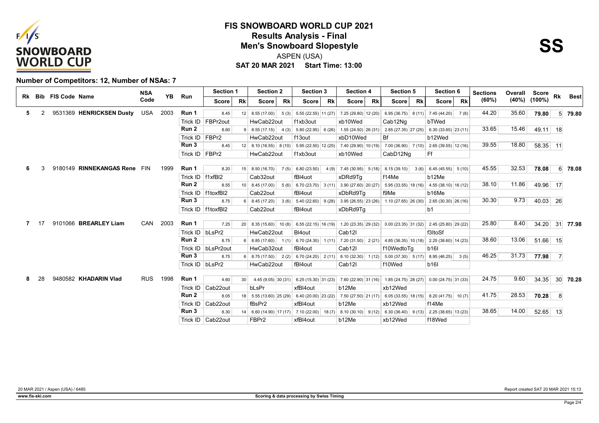



### **Number of Competitors: 12, Number of NSAs: 7**

|    |    | Rk Bib FIS Code Name |                              | <b>NSA</b> | <b>YB</b> |                    | <b>Section 1</b>     |                 | <b>Section 2</b>                 |           | Section 3             |           | <b>Section 4</b>        |           | <b>Section 5</b>      |           | Section 6                                  |           | <b>Sections</b> | Overall | Score              | <b>Rk</b>      |                 |
|----|----|----------------------|------------------------------|------------|-----------|--------------------|----------------------|-----------------|----------------------------------|-----------|-----------------------|-----------|-------------------------|-----------|-----------------------|-----------|--------------------------------------------|-----------|-----------------|---------|--------------------|----------------|-----------------|
|    |    |                      |                              | Code       |           | Run                | <b>Score</b>         | <b>Rk</b>       | <b>Score</b>                     | <b>Rk</b> | <b>Score</b>          | <b>Rk</b> | <b>Score</b>            | <b>Rk</b> | <b>Score</b>          | <b>Rk</b> | Score                                      | <b>Rk</b> | (60%)           |         | $(40\%)$ $(100\%)$ |                | <b>Best</b>     |
| 5. | 2  |                      | 9531369 HENRICKSEN Dusty     | <b>USA</b> | 2003      | Run 1              | 8.45                 | 12              | 8.55 (17.00)                     | 5(3)      | 5.55 (22.55) 11 (27)  |           | 7.25 (29.80) 12 (20)    |           | 6.95 (36.75) 8 (11)   |           | 7.45 (44.20)                               | 7(8)      | 44.20           | 35.60   | 79.80              |                | $5 \, 79.80$    |
|    |    |                      |                              |            |           | Trick ID           | FBPr2out             |                 | HwCab22out                       |           | f1xb3out              |           | xb10Wed                 |           | Cab12Ng               |           | bTWed                                      |           |                 |         |                    |                |                 |
|    |    |                      |                              |            |           | Run 2              | 8.60                 |                 | $8.55(17.15)$ 4 (3)              |           | $5.80(22.95)$ 6 (26)  |           | 1.55 (24.50) $ 26(31) $ |           | 2.85 (27.35) 27 (25)  |           | $6.30(33.65)$ 23 (11)                      |           | 33.65           | 15.46   | 49.11 18           |                |                 |
|    |    |                      |                              |            |           | Trick ID           | FBPr2                |                 | HwCab22out                       |           | f13out                |           | xbD10Wed                |           | Bf                    |           | b12Wed                                     |           |                 |         |                    |                |                 |
|    |    |                      |                              |            |           | Run 3              | 8.45                 |                 | $12 \mid 8.10(16.55) \mid 8(10)$ |           | $5.95(22.50)$ 12 (25) |           | 7.40 (29.90) 10 (19)    |           |                       |           | $7.00(36.90)$ $7(10)$ 2.65 (39.55) 12 (16) |           | 39.55           | 18.80   | 58.35 11           |                |                 |
|    |    |                      |                              |            |           | Trick ID   FBPr2   |                      |                 | HwCab22out                       |           | f1xb3out              |           | xb10Wed                 |           | CabD12Ng              |           | Ff                                         |           |                 |         |                    |                |                 |
|    |    |                      |                              |            |           |                    |                      |                 |                                  |           |                       |           |                         |           |                       |           |                                            |           |                 |         |                    |                |                 |
|    |    |                      | 9180149 RINNEKANGAS Rene FIN |            | 1999      | Run 1              | 8.20                 |                 | $15 \mid 8.50(16.70)$            | 7(5)      | 6.80 (23.50)          | 4(9)      | $7.45(30.95)$ 5(18)     |           | 8.15 (39.10)          | 3(6)      | $6.45(45.55)$ 5(10)                        |           | 45.55           | 32.53   | 78.08              |                | 6 78.08         |
|    |    |                      |                              |            |           | Trick ID   f1xfBI2 |                      |                 | Cab32out                         |           | fBI4uot               |           | xDRd9Ta                 |           | f14Me                 |           | b12Me                                      |           |                 |         |                    |                |                 |
|    |    |                      |                              |            |           | Run 2              | 8.55                 | 10 <sup>1</sup> | 8.45 (17.00)                     | 5(6)      | $6.70(23.70)$ 3(11)   |           | $3.90(27.60)$ 20 (27)   |           |                       |           | $5.95(33.55)$ 18 (16) 4.55 (38.10) 16 (12) |           | 38.10           | 11.86   | 49.96 17           |                |                 |
|    |    |                      |                              |            |           | Trick ID           | f1toxfBI2            |                 | Cab22out                         |           | fBI4out               |           | xDbRd9Tq                |           | f9Me                  |           | b16Me                                      |           |                 |         |                    |                |                 |
|    |    |                      |                              |            |           | Run 3              | 8.75                 |                 | 8.45 (17.20)                     | 3(6)      | $5.40(22.60)$ 9(28)   |           | $3.95(26.55)$ $23(26)$  |           | $1.10(27.65)$ 26 (30) |           | $2.65(30.30)$ $26(16)$                     |           | 30.30           | 9.73    | 40.03 26           |                |                 |
|    |    |                      |                              |            |           | Trick ID           | f1toxfBI2            |                 | Cab22out                         |           | fBI4out               |           | xDbRd9Tg                |           |                       |           | b <sub>1</sub>                             |           |                 |         |                    |                |                 |
|    |    |                      |                              |            |           |                    |                      |                 |                                  |           |                       |           |                         |           |                       |           |                                            |           |                 |         |                    |                |                 |
|    | 17 |                      | 9101066 BREARLEY Liam        | CAN        | 2003      | Run 1              | 7.25                 |                 | $20 \mid 8.35(15.60) \mid 10(8)$ |           | $6.55(22.15)$ 16 (19) |           | $1.20(23.35)$ 29 (32)   |           | $0.00(23.35)$ 31 (32) |           | $2.45(25.80)$ 29 (22)                      |           | 25.80           | 8.40    | 34.20 31 77.98     |                |                 |
|    |    |                      |                              |            |           | Trick ID bLsPr2    |                      |                 | HwCab22out                       |           | BI4out                |           | Cab <sub>12</sub>       |           |                       |           | f3ItoSf                                    |           |                 |         |                    |                |                 |
|    |    |                      |                              |            |           | Run 2              | 8.75                 |                 | $8.85(17.60)$ 1(1)               |           | 6.70 (24.30)   1 (11) |           | $7.20(31.50)$ $2(21)$   |           | $4.85(36.35)$ 10 (18) |           | $2.25(38.60)$ 14 (23)                      |           | 38.60           | 13.06   | $51.66$ 15         |                |                 |
|    |    |                      |                              |            |           |                    | Trick ID   bLsPr2out |                 | HwCab32out                       |           | fBI4out               |           | Cab <sub>12</sub>       |           | f10WedtoTa            |           | <b>b16l</b>                                |           |                 |         |                    |                |                 |
|    |    |                      |                              |            |           | Run 3              | 8.75                 |                 | $8.75(17.50)$ 2(2)               |           | $6.70(24.20)$ 2(11)   |           | $8.10(32.30)$ 1(12)     |           | $5.00(37.30)$ $5(17)$ |           | 8.95(46.25)                                | 3(5)      | 46.25           | 31.73   | 77.98              | $\overline{7}$ |                 |
|    |    |                      |                              |            |           | Trick ID   bLsPr2  |                      |                 | HwCab22out                       |           | fBI4out               |           | Cab <sub>12</sub>       |           | f10Wed                |           | <b>b16l</b>                                |           |                 |         |                    |                |                 |
| 8  | 28 |                      | 9480582 KHADARIN Vlad        | <b>RUS</b> | 1998      | Run 1              | 4.60                 | 30 <sup>2</sup> | $4.45(9.05)$ 30 (31)             |           | $6.25(15.30)$ 31 (23) |           | 7.60 (22.90) 31 (16)    |           | $1.85(24.75)$ 28 (27) |           | $0.00(24.75)$ 31 (33)                      |           | 24.75           | 9.60    | 34.35              |                | $30 \mid 70.28$ |
|    |    |                      |                              |            |           |                    | Trick ID   Cab22out  |                 | bLsPr                            |           | xfBI4out              |           | b12Me                   |           | xb12Wed               |           |                                            |           |                 |         |                    |                |                 |
|    |    |                      |                              |            |           | Run 2              | 8.05                 |                 | $18$ 5.55 (13.60) 25 (29)        |           | $6.40(20.00)$ 23 (22) |           | 7.50 (27.50) 21 (17)    |           | $6.05(33.55)$ 18 (15) |           | $8.20(41.75)$ 10(7)                        |           | 41.75           | 28.53   | 70.28              | 8              |                 |
|    |    |                      |                              |            |           |                    | Trick ID   Cab22out  |                 | fBsPr2                           |           | xfBI4out              |           | b12Me                   |           | xb12Wed               |           | f14Me                                      |           |                 |         |                    |                |                 |
|    |    |                      |                              |            |           | Run 3              | 8.30                 |                 | $6.60(14.90)$ 17 (17)            |           | 7.10(22.00)           | 18(7)     | $8.10(30.10)$ 9(12)     |           | $6.30(36.40)$ 9(13)   |           | $2.25(38.65)$ 13 (23)                      |           | 38.65           | 14.00   | $52.65$ 13         |                |                 |
|    |    |                      |                              |            |           |                    | Trick ID   Cab22out  |                 | FBPr2                            |           | xfBI4out              |           | b12Me                   |           | xb12Wed               |           | f18Wed                                     |           |                 |         |                    |                |                 |
|    |    |                      |                              |            |           |                    |                      |                 |                                  |           |                       |           |                         |           |                       |           |                                            |           |                 |         |                    |                |                 |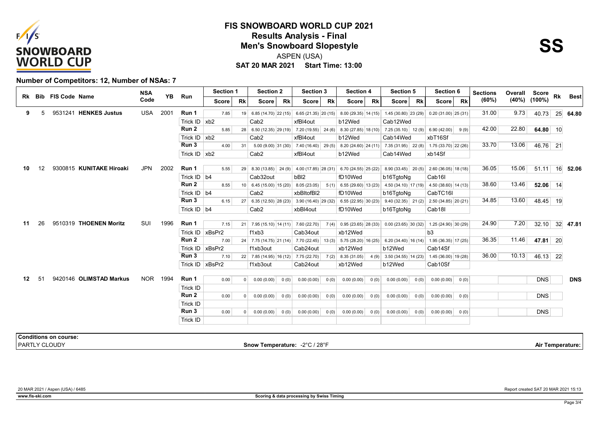



#### **Number of Competitors: 12, Number of NSAs: 7**

|    |    |                      | <b>NSA</b>                                                                                                                                                     |      |                               |                                                  |                                                                                                                                                                                                                  |                  |                                                             |                  |                                                                                                                                                                                                                                                                                                                                                                                                                |                                                                                                                                                                                                       |                                                                                                                                                  | <b>Section 5</b> |                                                                                                                                                                                                                                               |                                                                                                                                                                                           |                                                                                                                                                                                         | <b>Sections</b>                                                                                                                                                                                                                                                                               |                         |                        |                                |                                                                                                                                      |
|----|----|----------------------|----------------------------------------------------------------------------------------------------------------------------------------------------------------|------|-------------------------------|--------------------------------------------------|------------------------------------------------------------------------------------------------------------------------------------------------------------------------------------------------------------------|------------------|-------------------------------------------------------------|------------------|----------------------------------------------------------------------------------------------------------------------------------------------------------------------------------------------------------------------------------------------------------------------------------------------------------------------------------------------------------------------------------------------------------------|-------------------------------------------------------------------------------------------------------------------------------------------------------------------------------------------------------|--------------------------------------------------------------------------------------------------------------------------------------------------|------------------|-----------------------------------------------------------------------------------------------------------------------------------------------------------------------------------------------------------------------------------------------|-------------------------------------------------------------------------------------------------------------------------------------------------------------------------------------------|-----------------------------------------------------------------------------------------------------------------------------------------------------------------------------------------|-----------------------------------------------------------------------------------------------------------------------------------------------------------------------------------------------------------------------------------------------------------------------------------------------|-------------------------|------------------------|--------------------------------|--------------------------------------------------------------------------------------------------------------------------------------|
|    |    |                      | Code                                                                                                                                                           |      |                               | <b>Score</b>                                     | Rk                                                                                                                                                                                                               | <b>Score</b>     | <b>Rk</b>                                                   | <b>Score</b>     | <b>Rk</b>                                                                                                                                                                                                                                                                                                                                                                                                      | <b>Score</b>                                                                                                                                                                                          | <b>Rk</b>                                                                                                                                        | Score            |                                                                                                                                                                                                                                               |                                                                                                                                                                                           | <b>Rk</b>                                                                                                                                                                               | (60%)                                                                                                                                                                                                                                                                                         | (40%)                   |                        |                                | Best                                                                                                                                 |
| 5  |    |                      | <b>USA</b>                                                                                                                                                     | 2001 | Run 1                         | 7.85                                             |                                                                                                                                                                                                                  |                  |                                                             |                  |                                                                                                                                                                                                                                                                                                                                                                                                                |                                                                                                                                                                                                       |                                                                                                                                                  |                  |                                                                                                                                                                                                                                               |                                                                                                                                                                                           |                                                                                                                                                                                         | 31.00                                                                                                                                                                                                                                                                                         | 9.73                    | 40.73                  |                                | 25 64.80                                                                                                                             |
|    |    |                      |                                                                                                                                                                |      |                               |                                                  |                                                                                                                                                                                                                  | Cab <sub>2</sub> |                                                             | xfBI4out         |                                                                                                                                                                                                                                                                                                                                                                                                                | b12Wed                                                                                                                                                                                                |                                                                                                                                                  | Cab12Wed         |                                                                                                                                                                                                                                               |                                                                                                                                                                                           |                                                                                                                                                                                         |                                                                                                                                                                                                                                                                                               |                         |                        |                                |                                                                                                                                      |
|    |    |                      |                                                                                                                                                                |      | Run 2                         | 5.85                                             |                                                                                                                                                                                                                  |                  |                                                             |                  |                                                                                                                                                                                                                                                                                                                                                                                                                |                                                                                                                                                                                                       |                                                                                                                                                  |                  |                                                                                                                                                                                                                                               |                                                                                                                                                                                           |                                                                                                                                                                                         | 42.00                                                                                                                                                                                                                                                                                         | 22.80                   |                        |                                |                                                                                                                                      |
|    |    |                      |                                                                                                                                                                |      |                               |                                                  |                                                                                                                                                                                                                  | Cab <sub>2</sub> |                                                             | xfBI4out         |                                                                                                                                                                                                                                                                                                                                                                                                                | b12Wed                                                                                                                                                                                                |                                                                                                                                                  | Cab14Wed         |                                                                                                                                                                                                                                               |                                                                                                                                                                                           |                                                                                                                                                                                         |                                                                                                                                                                                                                                                                                               |                         |                        |                                |                                                                                                                                      |
|    |    |                      |                                                                                                                                                                |      | Run 3                         | 4.00                                             | 31                                                                                                                                                                                                               |                  |                                                             |                  |                                                                                                                                                                                                                                                                                                                                                                                                                |                                                                                                                                                                                                       |                                                                                                                                                  |                  |                                                                                                                                                                                                                                               |                                                                                                                                                                                           |                                                                                                                                                                                         | 33.70                                                                                                                                                                                                                                                                                         | 13.06                   |                        |                                |                                                                                                                                      |
|    |    |                      |                                                                                                                                                                |      |                               |                                                  |                                                                                                                                                                                                                  | Cab <sub>2</sub> |                                                             | xfBI4out         |                                                                                                                                                                                                                                                                                                                                                                                                                | b12Wed                                                                                                                                                                                                |                                                                                                                                                  | Cab14Wed         |                                                                                                                                                                                                                                               |                                                                                                                                                                                           |                                                                                                                                                                                         |                                                                                                                                                                                                                                                                                               |                         |                        |                                |                                                                                                                                      |
| 12 |    |                      | <b>JPN</b>                                                                                                                                                     | 2002 | Run 1                         |                                                  |                                                                                                                                                                                                                  |                  |                                                             |                  |                                                                                                                                                                                                                                                                                                                                                                                                                |                                                                                                                                                                                                       |                                                                                                                                                  |                  |                                                                                                                                                                                                                                               |                                                                                                                                                                                           |                                                                                                                                                                                         | 36.05                                                                                                                                                                                                                                                                                         | 15.06                   |                        |                                | 16 52.06                                                                                                                             |
|    |    |                      |                                                                                                                                                                |      |                               |                                                  |                                                                                                                                                                                                                  |                  |                                                             |                  |                                                                                                                                                                                                                                                                                                                                                                                                                |                                                                                                                                                                                                       |                                                                                                                                                  |                  |                                                                                                                                                                                                                                               |                                                                                                                                                                                           |                                                                                                                                                                                         |                                                                                                                                                                                                                                                                                               |                         |                        |                                |                                                                                                                                      |
|    |    |                      |                                                                                                                                                                |      | Run 2                         | 8.55                                             |                                                                                                                                                                                                                  |                  |                                                             |                  |                                                                                                                                                                                                                                                                                                                                                                                                                |                                                                                                                                                                                                       |                                                                                                                                                  |                  |                                                                                                                                                                                                                                               |                                                                                                                                                                                           |                                                                                                                                                                                         | 38.60                                                                                                                                                                                                                                                                                         | 13.46                   |                        |                                |                                                                                                                                      |
|    |    |                      |                                                                                                                                                                |      |                               |                                                  |                                                                                                                                                                                                                  | Cab <sub>2</sub> |                                                             |                  |                                                                                                                                                                                                                                                                                                                                                                                                                | fD10Wed                                                                                                                                                                                               |                                                                                                                                                  | b16TqtoNq        |                                                                                                                                                                                                                                               |                                                                                                                                                                                           |                                                                                                                                                                                         |                                                                                                                                                                                                                                                                                               |                         |                        |                                |                                                                                                                                      |
|    |    |                      |                                                                                                                                                                |      | Run 3                         | 6.15                                             |                                                                                                                                                                                                                  |                  |                                                             |                  |                                                                                                                                                                                                                                                                                                                                                                                                                |                                                                                                                                                                                                       |                                                                                                                                                  |                  |                                                                                                                                                                                                                                               |                                                                                                                                                                                           |                                                                                                                                                                                         | 34.85                                                                                                                                                                                                                                                                                         | 13.60                   |                        |                                |                                                                                                                                      |
|    |    |                      |                                                                                                                                                                |      |                               |                                                  |                                                                                                                                                                                                                  | Cab <sub>2</sub> |                                                             | xbBl4out         |                                                                                                                                                                                                                                                                                                                                                                                                                | fD10Wed                                                                                                                                                                                               |                                                                                                                                                  | b16TgtoNg        |                                                                                                                                                                                                                                               |                                                                                                                                                                                           |                                                                                                                                                                                         |                                                                                                                                                                                                                                                                                               |                         |                        |                                |                                                                                                                                      |
|    |    |                      |                                                                                                                                                                |      |                               |                                                  |                                                                                                                                                                                                                  |                  |                                                             |                  |                                                                                                                                                                                                                                                                                                                                                                                                                |                                                                                                                                                                                                       |                                                                                                                                                  |                  |                                                                                                                                                                                                                                               |                                                                                                                                                                                           |                                                                                                                                                                                         |                                                                                                                                                                                                                                                                                               |                         |                        |                                |                                                                                                                                      |
|    |    |                      |                                                                                                                                                                |      |                               |                                                  |                                                                                                                                                                                                                  |                  |                                                             |                  |                                                                                                                                                                                                                                                                                                                                                                                                                |                                                                                                                                                                                                       |                                                                                                                                                  |                  |                                                                                                                                                                                                                                               |                                                                                                                                                                                           |                                                                                                                                                                                         |                                                                                                                                                                                                                                                                                               |                         |                        |                                |                                                                                                                                      |
|    |    |                      |                                                                                                                                                                |      |                               |                                                  |                                                                                                                                                                                                                  |                  |                                                             |                  |                                                                                                                                                                                                                                                                                                                                                                                                                |                                                                                                                                                                                                       |                                                                                                                                                  |                  |                                                                                                                                                                                                                                               |                                                                                                                                                                                           |                                                                                                                                                                                         |                                                                                                                                                                                                                                                                                               |                         |                        |                                |                                                                                                                                      |
|    |    |                      |                                                                                                                                                                |      |                               |                                                  |                                                                                                                                                                                                                  |                  |                                                             |                  |                                                                                                                                                                                                                                                                                                                                                                                                                |                                                                                                                                                                                                       |                                                                                                                                                  |                  |                                                                                                                                                                                                                                               |                                                                                                                                                                                           |                                                                                                                                                                                         |                                                                                                                                                                                                                                                                                               |                         |                        |                                |                                                                                                                                      |
|    |    |                      |                                                                                                                                                                |      |                               |                                                  |                                                                                                                                                                                                                  |                  |                                                             |                  |                                                                                                                                                                                                                                                                                                                                                                                                                |                                                                                                                                                                                                       |                                                                                                                                                  |                  |                                                                                                                                                                                                                                               |                                                                                                                                                                                           |                                                                                                                                                                                         |                                                                                                                                                                                                                                                                                               |                         |                        |                                |                                                                                                                                      |
|    |    |                      |                                                                                                                                                                |      |                               |                                                  |                                                                                                                                                                                                                  |                  |                                                             |                  |                                                                                                                                                                                                                                                                                                                                                                                                                |                                                                                                                                                                                                       |                                                                                                                                                  |                  |                                                                                                                                                                                                                                               |                                                                                                                                                                                           |                                                                                                                                                                                         |                                                                                                                                                                                                                                                                                               |                         |                        |                                |                                                                                                                                      |
|    |    |                      |                                                                                                                                                                |      |                               |                                                  |                                                                                                                                                                                                                  |                  |                                                             |                  |                                                                                                                                                                                                                                                                                                                                                                                                                |                                                                                                                                                                                                       |                                                                                                                                                  |                  |                                                                                                                                                                                                                                               |                                                                                                                                                                                           |                                                                                                                                                                                         |                                                                                                                                                                                                                                                                                               |                         |                        |                                |                                                                                                                                      |
| 51 |    |                      |                                                                                                                                                                |      | Run 1                         | 0.00                                             |                                                                                                                                                                                                                  | 0.00(0.00)       |                                                             |                  | 0(0)                                                                                                                                                                                                                                                                                                                                                                                                           | 0.00(0.00)                                                                                                                                                                                            | 0(0)                                                                                                                                             | 0.00(0.00)       |                                                                                                                                                                                                                                               |                                                                                                                                                                                           |                                                                                                                                                                                         |                                                                                                                                                                                                                                                                                               |                         | <b>DNS</b>             |                                | <b>DNS</b>                                                                                                                           |
|    |    |                      |                                                                                                                                                                |      | <b>Trick ID</b>               |                                                  |                                                                                                                                                                                                                  |                  |                                                             |                  |                                                                                                                                                                                                                                                                                                                                                                                                                |                                                                                                                                                                                                       |                                                                                                                                                  |                  |                                                                                                                                                                                                                                               |                                                                                                                                                                                           |                                                                                                                                                                                         |                                                                                                                                                                                                                                                                                               |                         |                        |                                |                                                                                                                                      |
|    |    |                      |                                                                                                                                                                |      |                               | 0.00                                             | $\Omega$                                                                                                                                                                                                         | 0.00(0.00)       |                                                             | 0.00(0.00)       | 0(0)                                                                                                                                                                                                                                                                                                                                                                                                           | 0.00(0.00)                                                                                                                                                                                            | 0(0)                                                                                                                                             | 0.00(0.00)       |                                                                                                                                                                                                                                               |                                                                                                                                                                                           |                                                                                                                                                                                         |                                                                                                                                                                                                                                                                                               |                         | <b>DNS</b>             |                                |                                                                                                                                      |
|    |    |                      |                                                                                                                                                                |      | Trick ID                      |                                                  |                                                                                                                                                                                                                  |                  |                                                             |                  |                                                                                                                                                                                                                                                                                                                                                                                                                |                                                                                                                                                                                                       |                                                                                                                                                  |                  |                                                                                                                                                                                                                                               |                                                                                                                                                                                           |                                                                                                                                                                                         |                                                                                                                                                                                                                                                                                               |                         |                        |                                |                                                                                                                                      |
|    |    |                      |                                                                                                                                                                |      |                               | 0.00                                             | $\Omega$                                                                                                                                                                                                         | 0.00(0.00)       |                                                             | 0.00(0.00)       | 0(0)                                                                                                                                                                                                                                                                                                                                                                                                           | 0.00(0.00)                                                                                                                                                                                            | 0(0)                                                                                                                                             | 0.00(0.00)       |                                                                                                                                                                                                                                               |                                                                                                                                                                                           |                                                                                                                                                                                         |                                                                                                                                                                                                                                                                                               |                         | <b>DNS</b>             |                                |                                                                                                                                      |
|    |    |                      |                                                                                                                                                                |      | Trick ID                      |                                                  |                                                                                                                                                                                                                  |                  |                                                             |                  |                                                                                                                                                                                                                                                                                                                                                                                                                |                                                                                                                                                                                                       |                                                                                                                                                  |                  |                                                                                                                                                                                                                                               |                                                                                                                                                                                           |                                                                                                                                                                                         |                                                                                                                                                                                                                                                                                               |                         |                        |                                |                                                                                                                                      |
|    |    |                      |                                                                                                                                                                |      |                               |                                                  |                                                                                                                                                                                                                  |                  |                                                             |                  |                                                                                                                                                                                                                                                                                                                                                                                                                |                                                                                                                                                                                                       |                                                                                                                                                  |                  |                                                                                                                                                                                                                                               |                                                                                                                                                                                           |                                                                                                                                                                                         |                                                                                                                                                                                                                                                                                               |                         |                        |                                |                                                                                                                                      |
|    |    |                      |                                                                                                                                                                |      |                               |                                                  |                                                                                                                                                                                                                  |                  |                                                             |                  |                                                                                                                                                                                                                                                                                                                                                                                                                |                                                                                                                                                                                                       |                                                                                                                                                  |                  |                                                                                                                                                                                                                                               |                                                                                                                                                                                           |                                                                                                                                                                                         |                                                                                                                                                                                                                                                                                               |                         |                        |                                |                                                                                                                                      |
|    | 26 | <b>PARTLY CLOUDY</b> | Rk Bib FIS Code Name<br>9531241 HENKES Justus<br>9300815 KUNITAKE Hiroaki<br>9510319 THOENEN Moritz<br>9420146 OLIMSTAD Markus<br><b>Conditions on course:</b> | SUI  | <b>YB</b><br>1996<br>NOR 1994 | Run<br>Run 1<br>Run 2<br>Run 3<br>Run 2<br>Run 3 | Trick $ID   xb2$<br>Trick $ID   xb2$<br>Trick $ID$ xb2<br>5.55<br>Trick ID $ b4 $<br>Trick ID $ b4$<br>Trick $ID \mid b4$<br>7.15<br>Trick ID   xBsPr2<br>7.00<br>Trick ID   xBsPr2<br>7.10<br>Trick ID   xBsPr2 | <b>Section 1</b> | Cab32out<br>f1xb3<br>f1xb3out<br>f1xb3out<br>0 <sup>1</sup> | <b>Section 2</b> | $19 \mid 6.85(14.70) \mid 22(15) \mid$<br>$28 \mid 6.50(12.35) \mid 29(19) \mid$<br>$5.00(9.00)$ 31 (30)<br>$29 \mid 8.30(13.85) \mid 24(9)$<br>bBI <sub>2</sub><br>$10 \mid 6.45(15.00) \mid 15(20)$<br>$27 \mid 6.35(12.50) \mid 28(23) \mid$<br>$21 \mid 7.95(15.10) \mid 14(11) \mid$<br>Cab34out<br>Cab24out<br>22 7.85 (14.95) 16 (12)<br>7.75 (22.70)<br>Cab24out<br>0(0)<br>0.00(0.00)<br>0(0)<br>0(0) | <b>Section 3</b><br>$6.65(21.35)$ 20 (15)<br>$7.20(19.55)$ 24(6)<br>$7.40(16.40)$ 29(5)<br>$4.00(17.85)$ 28 (31)<br>8.05(23.05)<br>xbBltofBI2<br>7.60(22.70)<br>7(2)<br>Snow Temperature: -2°C / 28°F | fD10Wed<br>5(1)<br>$3.90(16.40)$ 29 (32)<br>7(4)<br>xb12Wed<br>24 7.75 (14.75) 21 (14) 7.70 (22.45) 13 (3)<br>xb12Wed<br>8.35 (31.05)<br>xb12Wed | <b>Section 4</b> | $8.00(29.35)$ 14 (15)<br>$8.30(27.85)$ 18 (10)<br>$8.20(24.60)$ 24 (11)<br>$6.70(24.55)$ 25 (22)<br>b16TqtoNq<br>$6.55(29.60)$ 13 (23)<br>$6.55(22.95)$ 30 (23)<br>$0.95(23.65)$ 28 (33)<br>$5.75(28.20)$ 16 (25)<br>b12Wed<br>4(9)<br>b12Wed | <b>Rk</b><br>$1.45(30.80)$ 23 (29)<br>$8.90(33.45)$ 20(5)<br>$9.40(32.35)$ 21(2)<br>$0.00(23.65)$ 30 (32)<br>b3<br>$6.20(34.40)$ 16 (14)<br>$3.50(34.55)$ 14 (23)<br>0(0)<br>0(0)<br>0(0) | Score  <br>$7.25(35.10)$ 12 (9) 6.90 (42.00)<br>xbT16Sf<br>xb14Sf<br>Cab <sub>16</sub><br>CabTC16I<br>Cab <sub>18</sub><br>Cab14Sf<br>Cab10Sf<br>0.00(0.00)<br>0.00(0.00)<br>0.00(0.00) | <b>Section 6</b><br>$0.20(31.00)$ 25 (31)<br>9(9)<br>7.35 (31.95) 22 (8) 1.75 (33.70) 22 (26)<br>$2.60(36.05)$ 18 (18)<br>4.50 (34.10) $ 17(19) $ 4.50 (38.60) 14 (13)<br>2.50 (34.85) 20 (21)<br>1.25(24.90)30(29)<br>$1.95(36.35)$ 17 (25)<br>$1.45(36.00)$ 19 (28)<br>0(0)<br>0(0)<br>0(0) | 24.90<br>36.35<br>36.00 | 7.20<br>11.46<br>10.13 | <b>Overall Score</b><br>(100%) | <b>Rk</b><br>64.80 10<br>46.76 21<br>51.11<br>$52.06$ 14<br>48.45 19<br>$32.10$ 32 47.81<br>47.81 20<br>46.13 22<br>Air Temperature: |

20 MAR 2021 / Aspen (USA) / 6485 Report created SAT 20 MAR 2021 15:13